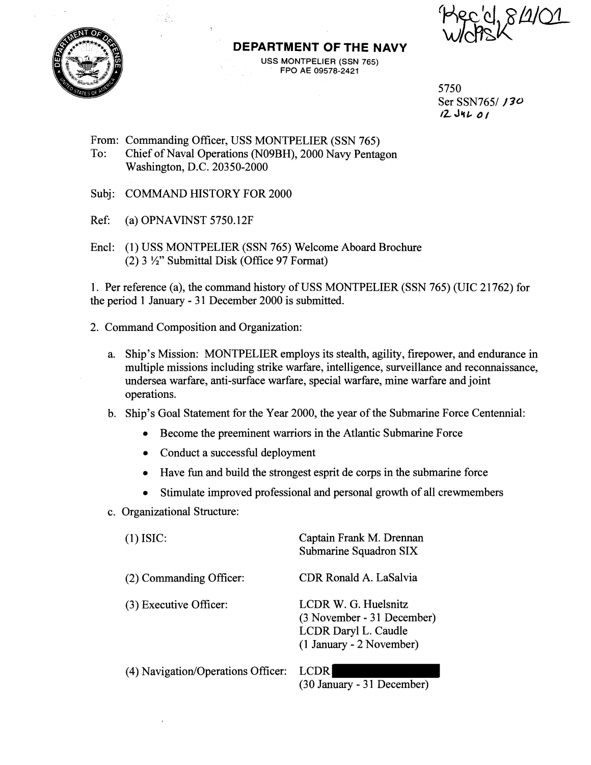

### **DEPARTMENT OF THE NAVY**

USS MONTPELIER (SSN **765)**  FPO AE **09578-2421** 

 $7490/84101$ 

5750 Ser SSN7651 **f 30** 

- From: Commanding Officer, USS MONTPELIER (SSN 765) 'To: Chief of Naval Operations (N09BH), 2000 Navy Pentagon Washington, D.C. 20350-2000
- Subj: COMMAND HISTORY FOR 2000
- Ref: (a) OPNAVINST 5750.12F
- Encl: (1) USS MONTPELIER (SSN 765) Welcome Aboard Brochure (2)  $3 \frac{1}{2}$ " Submittal Disk (Office 97 Format)

1. Per reference (a), the command history of USS MONTPELIER (SSN 765) (UIC 21762) for the period 1 January - 31 December 2000 is submitted.

- 2. Command Composition and Organization:
	- a. Ship's Mission: MONTPELIER employs its stealth, agility, firepower, and endurance in multiple missions including strike warfare, intelligence, surveillance and reconnaissance, undersea warfare, anti-surface warfare, special warfare, mine warfare and joint operations.
	- b. Ship's Goal Statement for the Year 2000, the year of the Submarine Force Centennial:
		- Become the preeminent warriors in the Atlantic Submarine Force  $\bullet$
		- Conduct a successful deployment
		- Have fun and build the strongest esprit de corps in the submarine force
		- Stimulate improved professional and personal growth of all crewmembers
	- c. Organizational Structure:

| $(1)$ ISIC:                        | Captain Frank M. Drennan<br>Submarine Squadron SIX                                                     |
|------------------------------------|--------------------------------------------------------------------------------------------------------|
| (2) Commanding Officer:            | CDR Ronald A. LaSalvia                                                                                 |
| (3) Executive Officer:             | LCDR W. G. Huelsnitz<br>(3 November - 31 December)<br>LCDR Daryl L. Caudle<br>(1 January - 2 November) |
| (4) Navigation/Operations Officer: | LCDR                                                                                                   |

(30 January - 31 December)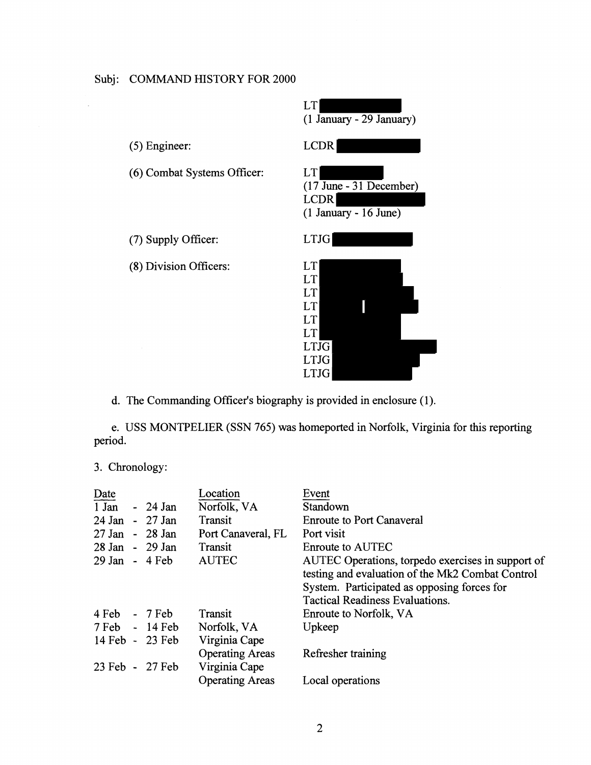

d. The Commanding Officer's biography is provided in enclosure (1).

e. USS MONTPELIER (SSN 765) was homeported in Norfolk, Virginia for this reporting period.

3. Chronology:

| Date                            |                                                | Location                                | Event                                                                                                                                                                                          |
|---------------------------------|------------------------------------------------|-----------------------------------------|------------------------------------------------------------------------------------------------------------------------------------------------------------------------------------------------|
| 1 Jan                           | $-24$ Jan                                      | Norfolk, VA                             | Standown                                                                                                                                                                                       |
| 24 Jan - 27 Jan                 |                                                | Transit                                 | <b>Enroute to Port Canaveral</b>                                                                                                                                                               |
| 27 Jan                          | $-28$ Jan                                      | Port Canaveral, FL                      | Port visit                                                                                                                                                                                     |
| 28 Jan - 29 Jan                 |                                                | Transit                                 | Enroute to AUTEC                                                                                                                                                                               |
| $29$ Jan - 4 Feb                |                                                | <b>AUTEC</b>                            | AUTEC Operations, torpedo exercises in support of<br>testing and evaluation of the Mk2 Combat Control<br>System. Participated as opposing forces for<br><b>Tactical Readiness Evaluations.</b> |
| $4 \text{ Feb} - 7 \text{ Feb}$ |                                                | Transit                                 | Enroute to Norfolk, VA                                                                                                                                                                         |
|                                 | $7 \,\text{Feb} \quad - \quad 14 \,\text{Feb}$ | Norfolk, VA                             | Upkeep                                                                                                                                                                                         |
| 14 Feb - 23 Feb                 |                                                | Virginia Cape                           |                                                                                                                                                                                                |
| 23 Feb - 27 Feb                 |                                                | <b>Operating Areas</b><br>Virginia Cape | Refresher training                                                                                                                                                                             |
|                                 |                                                | <b>Operating Areas</b>                  | Local operations                                                                                                                                                                               |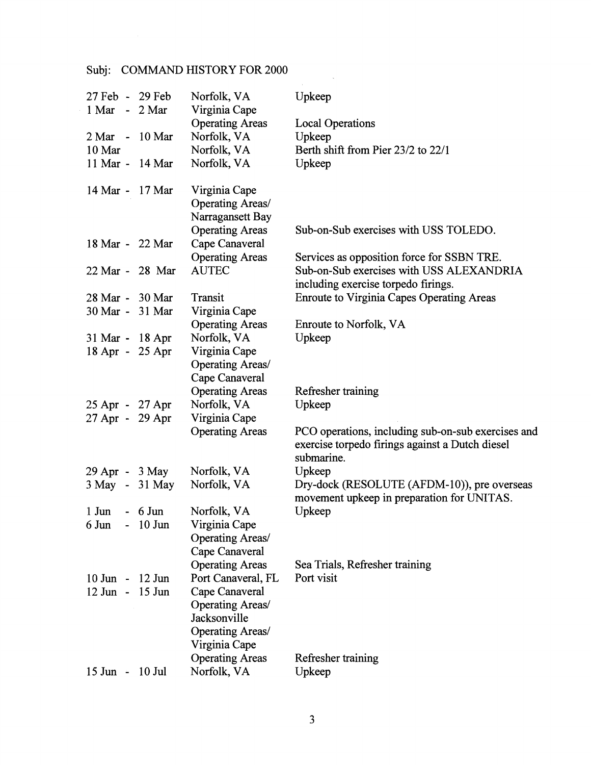| 27 Feb - 29 Feb<br>1 Mar - 2 Mar |                          |                 | Norfolk, VA<br>Virginia Cape                                                    | Upkeep                                                                                                              |
|----------------------------------|--------------------------|-----------------|---------------------------------------------------------------------------------|---------------------------------------------------------------------------------------------------------------------|
| 2 Mar                            |                          | $-10$ Mar       | <b>Operating Areas</b><br>Norfolk, VA                                           | <b>Local Operations</b><br>Upkeep                                                                                   |
| 10 Mar                           |                          |                 | Norfolk, VA                                                                     | Berth shift from Pier 23/2 to 22/1                                                                                  |
|                                  |                          | 11 Mar - 14 Mar | Norfolk, VA                                                                     | Upkeep                                                                                                              |
|                                  |                          |                 |                                                                                 |                                                                                                                     |
| 14 Mar -                         |                          | $17$ Mar        | Virginia Cape<br>Operating Areas/<br>Narragansett Bay<br><b>Operating Areas</b> | Sub-on-Sub exercises with USS TOLEDO.                                                                               |
|                                  |                          | 18 Mar - 22 Mar | Cape Canaveral                                                                  |                                                                                                                     |
|                                  |                          |                 | <b>Operating Areas</b>                                                          | Services as opposition force for SSBN TRE.                                                                          |
|                                  |                          | 22 Mar - 28 Mar | <b>AUTEC</b>                                                                    | Sub-on-Sub exercises with USS ALEXANDRIA                                                                            |
|                                  |                          |                 |                                                                                 | including exercise torpedo firings.                                                                                 |
|                                  |                          | 28 Mar - 30 Mar | Transit                                                                         | <b>Enroute to Virginia Capes Operating Areas</b>                                                                    |
|                                  |                          | 30 Mar - 31 Mar | Virginia Cape                                                                   |                                                                                                                     |
|                                  |                          |                 | <b>Operating Areas</b>                                                          | Enroute to Norfolk, VA                                                                                              |
| 31 Mar - 18 Apr                  |                          |                 | Norfolk, VA                                                                     | Upkeep                                                                                                              |
|                                  |                          | 18 Apr - 25 Apr | Virginia Cape                                                                   |                                                                                                                     |
|                                  |                          |                 | Operating Areas/                                                                |                                                                                                                     |
|                                  |                          |                 | Cape Canaveral                                                                  |                                                                                                                     |
|                                  |                          |                 | <b>Operating Areas</b>                                                          | Refresher training                                                                                                  |
| 25 Apr - 27 Apr                  |                          |                 | Norfolk, VA                                                                     | Upkeep                                                                                                              |
| 27 Apr - 29 Apr                  |                          |                 | Virginia Cape                                                                   |                                                                                                                     |
|                                  |                          |                 | <b>Operating Areas</b>                                                          | PCO operations, including sub-on-sub exercises and<br>exercise torpedo firings against a Dutch diesel<br>submarine. |
| 29 Apr - 3 May                   |                          |                 | Norfolk, VA                                                                     | Upkeep                                                                                                              |
|                                  |                          | 3 May - 31 May  | Norfolk, VA                                                                     | Dry-dock (RESOLUTE (AFDM-10)), pre overseas                                                                         |
|                                  |                          |                 |                                                                                 | movement upkeep in preparation for UNITAS.                                                                          |
| $1$ Jun                          |                          | $-6$ Jun        | Norfolk, VA                                                                     | Upkeep                                                                                                              |
| 6 Jun                            | $\overline{\phantom{0}}$ | $10$ Jun        | Virginia Cape                                                                   |                                                                                                                     |
|                                  |                          |                 | Operating Areas/                                                                |                                                                                                                     |
|                                  |                          |                 | Cape Canaveral                                                                  |                                                                                                                     |
|                                  |                          |                 | <b>Operating Areas</b>                                                          | Sea Trials, Refresher training                                                                                      |
| $10$ Jun -                       |                          | 12 Jun          | Port Canaveral, FL                                                              | Port visit                                                                                                          |
| 12 Jun - 15 Jun                  |                          |                 | Cape Canaveral                                                                  |                                                                                                                     |
|                                  |                          |                 | Operating Areas/                                                                |                                                                                                                     |
|                                  |                          |                 | Jacksonville                                                                    |                                                                                                                     |
|                                  |                          |                 | <b>Operating Areas/</b>                                                         |                                                                                                                     |
|                                  |                          |                 | Virginia Cape                                                                   |                                                                                                                     |
|                                  |                          |                 | <b>Operating Areas</b>                                                          | Refresher training                                                                                                  |
| $15$ Jun -                       |                          | $10$ Jul        | Norfolk, VA                                                                     | Upkeep                                                                                                              |

 $\sim$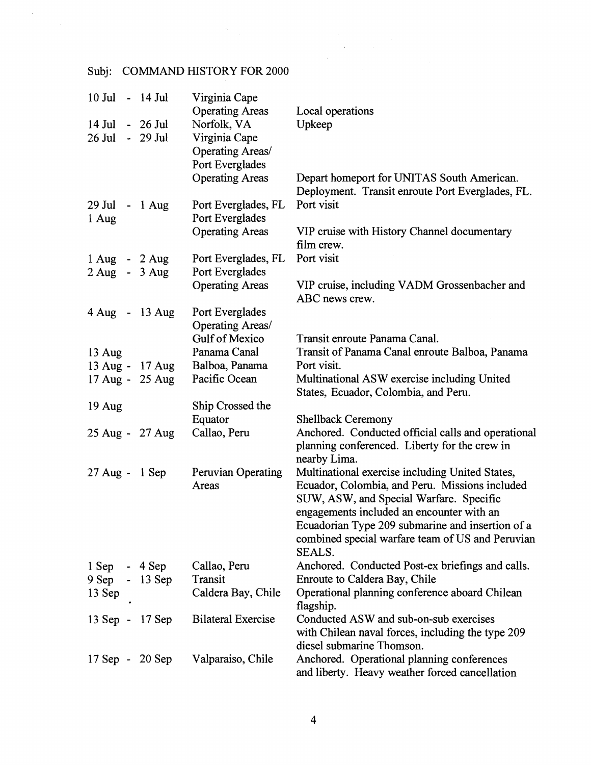$\bar{\mathcal{A}}_k$ 

| 10 Jul - 14 Jul                  |                     | Virginia Cape             |                                                             |
|----------------------------------|---------------------|---------------------------|-------------------------------------------------------------|
|                                  |                     | <b>Operating Areas</b>    | Local operations                                            |
| $14$ Jul                         | $-26$ Jul           | Norfolk, VA               | Upkeep                                                      |
| $26$ Jul                         | - 29 Jul            | Virginia Cape             |                                                             |
|                                  |                     | Operating Areas/          |                                                             |
|                                  |                     | Port Everglades           |                                                             |
|                                  |                     | <b>Operating Areas</b>    | Depart homeport for UNITAS South American.                  |
|                                  |                     |                           | Deployment. Transit enroute Port Everglades, FL.            |
| 29 Jul                           | $-1$ Aug            | Port Everglades, FL       | Port visit                                                  |
| 1 Aug                            |                     | Port Everglades           |                                                             |
|                                  |                     | <b>Operating Areas</b>    | VIP cruise with History Channel documentary                 |
|                                  |                     |                           | film crew.                                                  |
| 1 Aug - 2 Aug                    |                     | Port Everglades, FL       | Port visit                                                  |
| $2 \text{ Aug } - 3 \text{ Aug}$ |                     | Port Everglades           |                                                             |
|                                  |                     | <b>Operating Areas</b>    | VIP cruise, including VADM Grossenbacher and                |
|                                  |                     |                           | ABC news crew.                                              |
|                                  | 4 Aug - 13 Aug      | Port Everglades           |                                                             |
|                                  |                     | Operating Areas/          |                                                             |
|                                  |                     | Gulf of Mexico            | Transit enroute Panama Canal.                               |
| 13 Aug                           |                     | Panama Canal              | Transit of Panama Canal enroute Balboa, Panama              |
|                                  | 13 Aug - 17 Aug     | Balboa, Panama            | Port visit.                                                 |
|                                  | 17 Aug - 25 Aug     | Pacific Ocean             | Multinational ASW exercise including United                 |
|                                  |                     |                           | States, Ecuador, Colombia, and Peru.                        |
| $19$ Aug                         |                     | Ship Crossed the          |                                                             |
|                                  |                     | Equator                   | <b>Shellback Ceremony</b>                                   |
|                                  | 25 Aug - 27 Aug     | Callao, Peru              | Anchored. Conducted official calls and operational          |
|                                  |                     |                           | planning conferenced. Liberty for the crew in               |
|                                  |                     |                           | nearby Lima.                                                |
| 27 Aug - 1 Sep                   |                     | Peruvian Operating        | Multinational exercise including United States,             |
|                                  |                     | Areas                     | Ecuador, Colombia, and Peru. Missions included              |
|                                  |                     |                           | SUW, ASW, and Special Warfare. Specific                     |
|                                  |                     |                           | engagements included an encounter with an                   |
|                                  |                     |                           | Ecuadorian Type 209 submarine and insertion of a            |
|                                  |                     |                           | combined special warfare team of US and Peruvian            |
|                                  |                     |                           | SEALS.                                                      |
| $1$ Sep                          | $-4$ Sep            | Callao, Peru              | Anchored. Conducted Post-ex briefings and calls.            |
| 9 Sep                            | $-13$ Sep           | Transit                   | Enroute to Caldera Bay, Chile                               |
| 13 Sep                           |                     | Caldera Bay, Chile        | Operational planning conference aboard Chilean<br>flagship. |
| $13$ Sep -                       | $17$ Sep            | <b>Bilateral Exercise</b> | Conducted ASW and sub-on-sub exercises                      |
|                                  |                     |                           | with Chilean naval forces, including the type 209           |
|                                  |                     |                           | diesel submarine Thomson.                                   |
|                                  | $17$ Sep - $20$ Sep | Valparaiso, Chile         | Anchored. Operational planning conferences                  |
|                                  |                     |                           | and liberty. Heavy weather forced cancellation              |